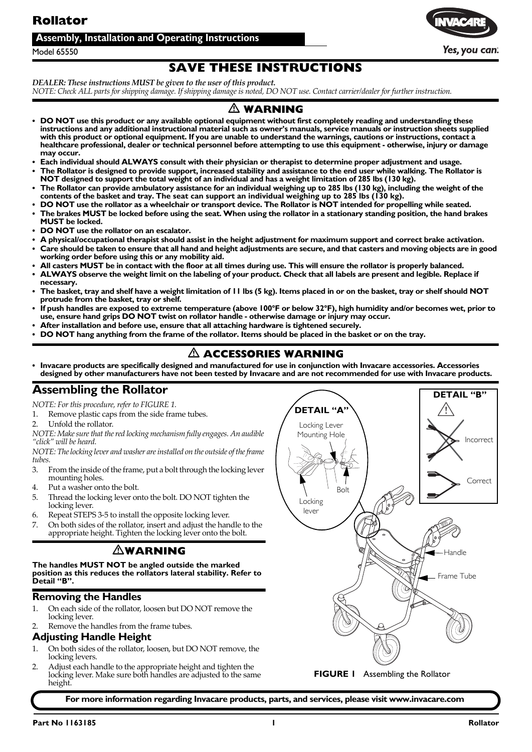### <span id="page-0-1"></span>**Rollator**

#### **Assembly, Installation and Operating Instructions**



Yes, you can:

Model 65550

### **SAVE THESE INSTRUCTIONS**

*DEALER: These instructions MUST be given to the user of this product.* NOTE: Check ALL parts for shipping damage. If shipping damage is noted, DO NOT use. Contact carrier/dealer for further instruction.

### $\triangle$  warning

- **DO NOT use this product or any available optional equipment without first completely reading and understanding these instructions and any additional instructional material such as owner's manuals, service manuals or instruction sheets supplied with this product or optional equipment. If you are unable to understand the warnings, cautions or instructions, contact a healthcare professional, dealer or technical personnel before attempting to use this equipment - otherwise, injury or damage may occur.**
- **Each individual should ALWAYS consult with their physician or therapist to determine proper adjustment and usage. • The Rollator is designed to provide support, increased stability and assistance to the end user while walking. The Rollator is**
- **NOT designed to support the total weight of an individual and has a weight limitation of 285 lbs (130 kg).**
- **The Rollator can provide ambulatory assistance for an individual weighing up to 285 lbs (130 kg), including the weight of the**  contents of the basket and tray. The seat can support an individual weighing up to 285 lbs (130 kg).
- **DO NOT use the rollator as a wheelchair or transport device. The Rollator is NOT intended for propelling while seated. • The brakes MUST be locked before using the seat. When using the rollator in a stationary standing position, the hand brakes MUST be locked.**
- **DO NOT use the rollator on an escalator.**
- **A physical/occupational therapist should assist in the height adjustment for maximum support and correct brake activation.**
- **Care should be taken to ensure that all hand and height adjustments are secure, and that casters and moving objects are in good working order before using this or any mobility aid.**
- **All casters MUST be in contact with the floor at all times during use. This will ensure the rollator is properly balanced.**
- **ALWAYS observe the weight limit on the labeling of your product. Check that all labels are present and legible. Replace if necessary.**
- **The basket, tray and shelf have a weight limitation of 11 lbs (5 kg). Items placed in or on the basket, tray or shelf should NOT protrude from the basket, tray or shelf.**
- **If push handles are exposed to extreme temperature (above 100°F or below 32°F), high humidity and/or becomes wet, prior to use, ensure hand grips DO NOT twist on rollator handle - otherwise damage or injury may occur.**
- **After installation and before use, ensure that all attaching hardware is tightened securely.**
- **DO NOT hang anything from the frame of the rollator. Items should be placed in the basket or on the tray.**

### $\triangle$  ACCESSORIES WARNING

**• Invacare products are specifically designed and manufactured for use in conjunction with Invacare accessories. Accessories designed by other manufacturers have not been tested by Invacare and are not recommended for use with Invacare products.**

### <span id="page-0-2"></span>**Assembling the Rollator**

*NOTE: For this procedure, refer to [FIGURE 1.](#page-0-0)*

- 1. Remove plastic caps from the side frame tubes.
- 2. Unfold the rollator.

*NOTE: Makesurethat thered locking mechanism fully engages. An audible "click" will be heard.*

*NOTE: Thelocking lever and washer areinstalled on the outside of theframe tubes.*

- 3. From the inside of the frame, put a bolt through the locking lever mounting holes.
- 4. Put a washer onto the bolt.
- 5. Thread the locking lever onto the bolt. DO NOT tighten the locking lever.
- 6. Repeat STEPS 3‐5 to install the opposite locking lever.
- 7. On both sides of the rollator, insert and adjust the handle to the appropriate height. Tighten the locking lever onto the bolt.

### <span id="page-0-0"></span>-**WARNING**

**The handles MUST NOT be angled outside the marked position as this reduces the rollators lateral stability. Refer to Detail "B".**

#### **Removing the Handles**

- 1. On each side of the rollator, loosen but DO NOT remove the locking lever.
- Remove the handles from the frame tubes.

#### **Adjusting Handle Height**

- 1. On both sides of the rollator, loosen, but DO NOT remove, the locking levers.
- 2. Adjust each handle to the appropriate height and tighten the locking lever. Make sure both handles are adjusted to the same height.



**For more information regarding Invacare products, parts, and services, please visit www.invacare.com**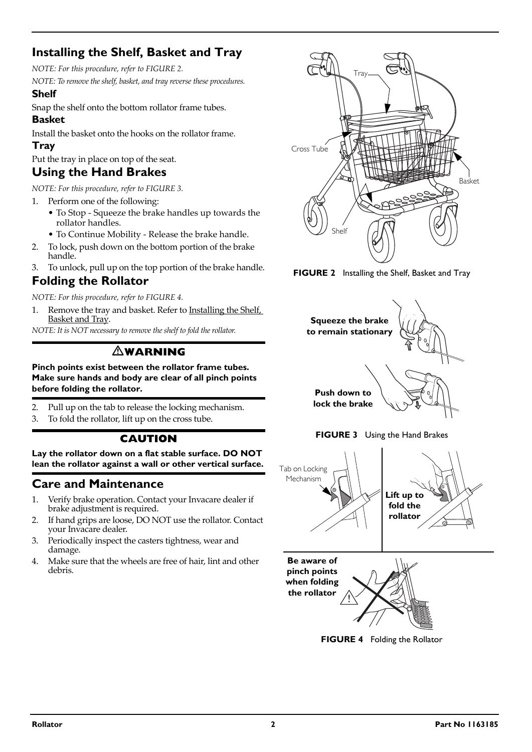### <span id="page-1-1"></span>**Installing the Shelf, Basket and Tray**

*NOTE: For this procedure, refer to [FIGURE 2.](#page-1-5)*

*NOTE: To remove the shelf, basket, and tray reverse these procedures.*

### **Shelf**

Snap the shelf onto the bottom rollator frame tubes.

## **Basket**

Install the basket onto the hooks on the rollator frame.

### **Tray**

Put the tray in place on top of the seat.

### <span id="page-1-0"></span>**Using the Hand Brakes**

*NOTE: For this procedure, refer to [FIGURE 3.](#page-1-4)*

- 1. Perform one of the following:
	- To Stop ‐ Squeeze the brake handles up towards the rollator handles.
	- To Continue Mobility ‐ Release the brake handle.
- 2. To lock, push down on the bottom portion of the brake handle.
- 3. To unlock, pull up on the top portion of the brake handle.

### <span id="page-1-2"></span>**Folding the Rollator**

*NOTE: For this procedure, refer to [FIGURE 4.](#page-1-3)*

1. Remove the tray and basket. Refer to [Installing](#page-1-1) the Shelf, **[Basket](#page-1-1) and Tray.** 

*NOTE: It is NOT necessary to remove the shelf to fold the rollator.*

### -**WARNING**

**Pinch points exist between the rollator frame tubes. Make sure hands and body are clear of all pinch points before folding the rollator.**

- 2. Pull up on the tab to release the locking mechanism.
- 3. To fold the rollator, lift up on the cross tube.

### **CAUTION**

**Lay the rollator down on a flat stable surface. DO NOT lean the rollator against a wall or other vertical surface.**

### **Care and Maintenance**

- 1. Verify brake operation. Contact your Invacare dealer if brake adjustment is required.
- 2. If hand grips are loose, DO NOT use the rollator. Contact your Invacare dealer.
- 3. Periodically inspect the casters tightness, wear and damage.
- 4. Make sure that the wheels are free of hair, lint and other debris.



<span id="page-1-5"></span>**FIGURE 2** [Installing the Shelf, Basket and Tray](#page-1-1)





<span id="page-1-4"></span>

<span id="page-1-3"></span>

**FIGURE 4** [Folding the Rollator](#page-1-2)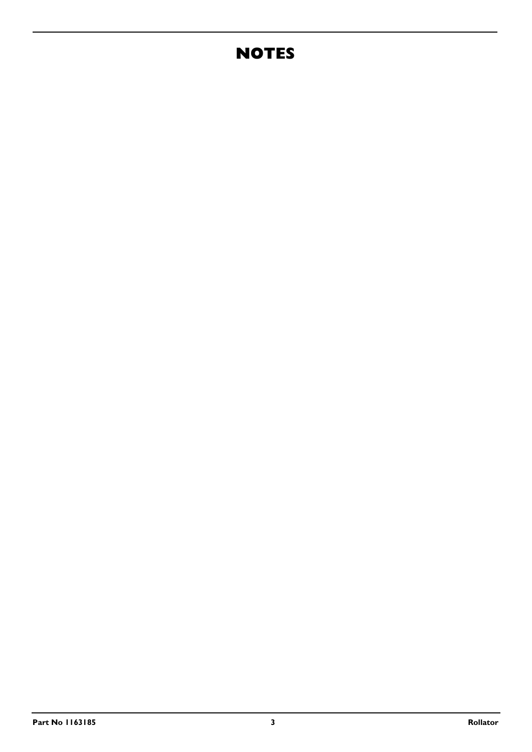# **NOTES**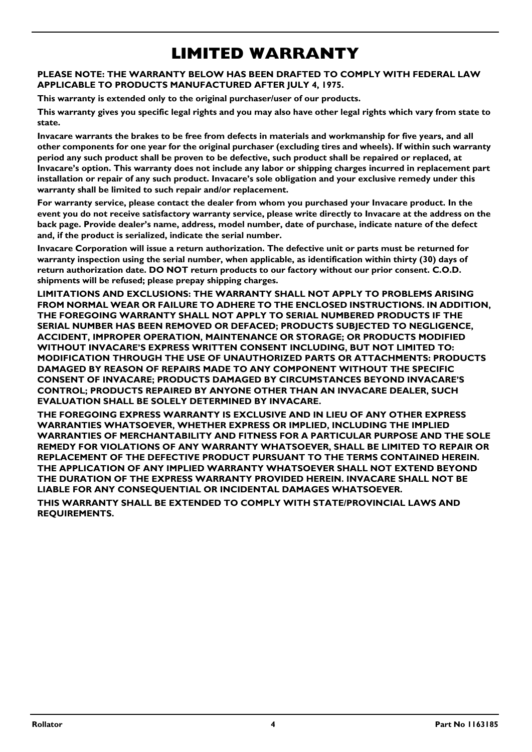# **LIMITED WARRANTY**

#### **PLEASE NOTE: THE WARRANTY BELOW HAS BEEN DRAFTED TO COMPLY WITH FEDERAL LAW APPLICABLE TO PRODUCTS MANUFACTURED AFTER JULY 4, 1975.**

**This warranty is extended only to the original purchaser/user of our products.**

**This warranty gives you specific legal rights and you may also have other legal rights which vary from state to state.**

**Invacare warrants the brakes to be free from defects in materials and workmanship for five years, and all other components for one year for the original purchaser (excluding tires and wheels). If within such warranty period any such product shall be proven to be defective, such product shall be repaired or replaced, at Invacare's option. This warranty does not include any labor or shipping charges incurred in replacement part installation or repair of any such product. Invacare's sole obligation and your exclusive remedy under this warranty shall be limited to such repair and/or replacement.**

**For warranty service, please contact the dealer from whom you purchased your Invacare product. In the event you do not receive satisfactory warranty service, please write directly to Invacare at the address on the back page. Provide dealer's name, address, model number, date of purchase, indicate nature of the defect and, if the product is serialized, indicate the serial number.**

**Invacare Corporation will issue a return authorization. The defective unit or parts must be returned for warranty inspection using the serial number, when applicable, as identification within thirty (30) days of return authorization date. DO NOT return products to our factory without our prior consent. C.O.D. shipments will be refused; please prepay shipping charges.**

**LIMITATIONS AND EXCLUSIONS: THE WARRANTY SHALL NOT APPLY TO PROBLEMS ARISING FROM NORMAL WEAR OR FAILURE TO ADHERE TO THE ENCLOSED INSTRUCTIONS. IN ADDITION, THE FOREGOING WARRANTY SHALL NOT APPLY TO SERIAL NUMBERED PRODUCTS IF THE SERIAL NUMBER HAS BEEN REMOVED OR DEFACED; PRODUCTS SUBJECTED TO NEGLIGENCE, ACCIDENT, IMPROPER OPERATION, MAINTENANCE OR STORAGE; OR PRODUCTS MODIFIED WITHOUT INVACARE'S EXPRESS WRITTEN CONSENT INCLUDING, BUT NOT LIMITED TO: MODIFICATION THROUGH THE USE OF UNAUTHORIZED PARTS OR ATTACHMENTS: PRODUCTS DAMAGED BY REASON OF REPAIRS MADE TO ANY COMPONENT WITHOUT THE SPECIFIC CONSENT OF INVACARE; PRODUCTS DAMAGED BY CIRCUMSTANCES BEYOND INVACARE'S CONTROL; PRODUCTS REPAIRED BY ANYONE OTHER THAN AN INVACARE DEALER, SUCH EVALUATION SHALL BE SOLELY DETERMINED BY INVACARE.**

**THE FOREGOING EXPRESS WARRANTY IS EXCLUSIVE AND IN LIEU OF ANY OTHER EXPRESS WARRANTIES WHATSOEVER, WHETHER EXPRESS OR IMPLIED, INCLUDING THE IMPLIED WARRANTIES OF MERCHANTABILITY AND FITNESS FOR A PARTICULAR PURPOSE AND THE SOLE REMEDY FOR VIOLATIONS OF ANY WARRANTY WHATSOEVER, SHALL BE LIMITED TO REPAIR OR REPLACEMENT OF THE DEFECTIVE PRODUCT PURSUANT TO THE TERMS CONTAINED HEREIN. THE APPLICATION OF ANY IMPLIED WARRANTY WHATSOEVER SHALL NOT EXTEND BEYOND THE DURATION OF THE EXPRESS WARRANTY PROVIDED HEREIN. INVACARE SHALL NOT BE LIABLE FOR ANY CONSEQUENTIAL OR INCIDENTAL DAMAGES WHATSOEVER.**

**THIS WARRANTY SHALL BE EXTENDED TO COMPLY WITH STATE/PROVINCIAL LAWS AND REQUIREMENTS.**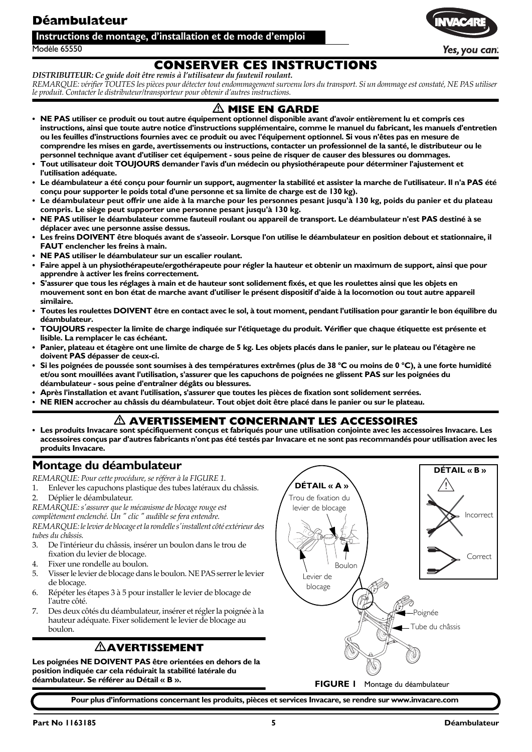### <span id="page-4-1"></span>**Déambulateur**

#### **Instructions de montage, d'installation et de mode d'emploi**

Modèle 65550

### **CONSERVER CES INSTRUCTIONS**

*DISTRIBUTEUR: Ce guide doit être remis à l'utilisateur du fauteuil roulant.* REMARQUE: vérifier TOUTES les pièces pour détecter tout endommagement survenu lors du transport. Si un dommage est constaté, NE PAS utiliser *le produit. Contacter le distributeur/transporteur pour obtenir d'autres instructions.*

### $\triangle$  MISE EN GARDE

- **NE PAS utiliser ce produit ou tout autre équipement optionnel disponible avant d'avoir entièrement lu et compris ces instructions, ainsi que toute autre notice d'instructions supplémentaire, comme le manuel du fabricant, les manuels d'entretien ou les feuilles d'instructions fournies avec ce produit ou avec l'équipement optionnel. Si vous n'êtes pas en mesure de comprendre les mises en garde, avertissements ou instructions, contacter un professionnel de la santé, le distributeur ou le personnel technique avant d'utiliser cet équipement - sous peine de risquer de causer des blessures ou dommages.**
- **Tout utilisateur doit TOUJOURS demander l'avis d'un médecin ou physiothérapeute pour déterminer l'ajustement et l'utilisation adéquate.**
- **Le déambulateur a été conçu pour fournir un support, augmenter la stabilité et assister la marche de l'utilisateur. Il n'a PAS été conçu pour supporter le poids total d'une personne et sa limite de charge est de 130 kg).**
- **Le déambulateur peut offrir une aide à la marche pour les personnes pesant jusqu'à 130 kg, poids du panier et du plateau compris. Le siège peut supporter une personne pesant jusqu'à 130 kg.**
- **NE PAS utiliser le déambulateur comme fauteuil roulant ou appareil de transport. Le déambulateur n'est PAS destiné à se déplacer avec une personne assise dessus.**
- **Les freins DOIVENT être bloqués avant de s'asseoir. Lorsque l'on utilise le déambulateur en position debout et stationnaire, il FAUT enclencher les freins à main.**
- **NE PAS utiliser le déambulateur sur un escalier roulant.**
- **Faire appel à un physiothérapeute/ergothérapeute pour régler la hauteur et obtenir un maximum de support, ainsi que pour apprendre à activer les freins correctement.**
- **S'assurer que tous les réglages à main et de hauteur sont solidement fixés, et que les roulettes ainsi que les objets en mouvement sont en bon état de marche avant d'utiliser le présent dispositif d'aide à la locomotion ou tout autre appareil similaire.**
- **Toutes les roulettes DOIVENT être en contact avec le sol, à tout moment, pendant l'utilisation pour garantir le bon équilibre du déambulateur.**
- **TOUJOURS respecter la limite de charge indiquée sur l'étiquetage du produit. Vérifier que chaque étiquette est présente et lisible. La remplacer le cas échéant.**
- **Panier, plateau et étagère ont une limite de charge de 5 kg. Les objets placés dans le panier, sur le plateau ou l'étagère ne doivent PAS dépasser de ceux-ci.**
- **Si les poignées de poussée sont soumises à des températures extrêmes (plus de 38 °C ou moins de 0 °C), à une forte humidité et/ou sont mouillées avant l'utilisation, s'assurer que les capuchons de poignées ne glissent PAS sur les poignées du déambulateur - sous peine d'entraîner dégâts ou blessures.**
- **Après l'installation et avant l'utilisation, s'assurer que toutes les pièces de fixation sont solidement serrées.**
- **NE RIEN accrocher au châssis du déambulateur. Tout objet doit être placé dans le panier ou sur le plateau.**

### - **AVERTISSEMENT CONCERNANT LES ACCESSOIRES**

**• Les produits Invacare sont spécifiquement conçus et fabriqués pour une utilisation conjointe avec les accessoires Invacare. Les accessoires conçus par d'autres fabricants n'ont pas été testés par Invacare et ne sont pas recommandés pour utilisation avec les produits Invacare.**

### <span id="page-4-2"></span>**Montage du déambulateur**

*REMARQUE: Pour cette procédure, se référer à la [FIGURE 1.](#page-4-0)*

- 1. Enlever les capuchons plastique des tubes latéraux du châssis.
- 2. Déplier le déambulateur.

*REMARQUE: sʹassurer que le mécanisme de blocage rouge est*

*complètement enclenché. Un ʺ clic ʺ audible se fera entendre.*

*REMARQUE:lelevier de blocageetla rondellesʹinstallent côtéextérieur des tubes du châssis.*

- 3. De lʹintérieur du châssis, insérer un boulon dans le trou de fixation du levier de blocage.
- 4. Fixer une rondelle au boulon.
- 5. Visserle levier de blocage dans le boulon. NE PAS serrerle levier de blocage.
- 6. Répéter les étapes 3 à 5 pour installer le levier de blocage de l'autre côté.
- 7. Des deux côtés du déambulateur, insérer etréglerla poignée à la hauteur adéquate. Fixer solidement le levier de blocage au boulon.

### <span id="page-4-0"></span>-**AVERTISSEMENT**

**Les poignées NE DOIVENT PAS être orientées en dehors de la position indiquée car cela réduirait la stabilité latérale du** 



**Pour plus d'informations concernant les produits, pièces et services Invacare, se rendre sur www.invacare.com**



Yes, you can: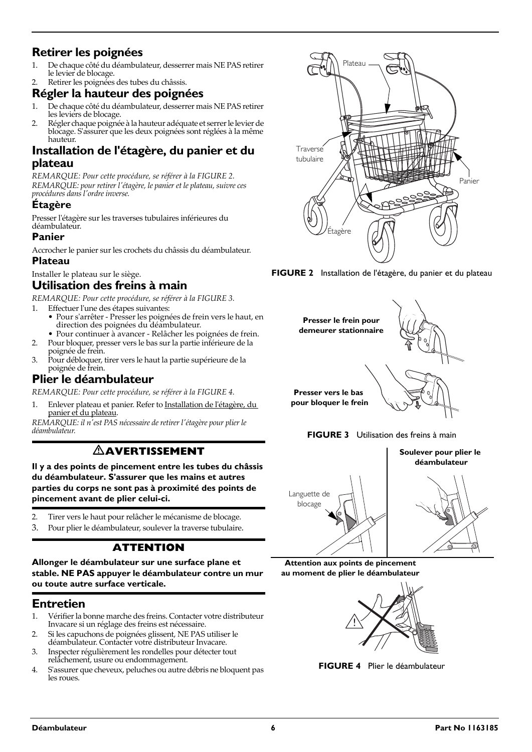### **Retirer les poignées**

- 1. De chaque côté du déambulateur, desserrer mais NE PAS retirer le levier de blocage.
- Retirer les poignées des tubes du châssis.

### **Régler la hauteur des poignées**

- 1. De chaque côté du déambulateur, desserrer mais NE PAS retirer les leviers de blocage.
- 2. Régler chaque poignée à la hauteur adéquate et serrer le levier de blocage. Sʹassurer que les deux poignées sont réglées à la même hauteur

### <span id="page-5-1"></span>**Installation de l'étagère, du panier et du plateau**

*REMARQUE: Pour cette procédure, se référer à la [FIGURE 2.](#page-5-5) REMARQUE: pour retirer lʹétagère, le panier et le plateau, suivre ces procédures dans lʹordre inverse.*

#### **Étagère**

Presser l'étagère sur les traverses tubulaires inférieures du déambulateur.

#### **Panier**

Accrocher le panier sur les crochets du châssis du déambulateur.

#### **Plateau**

Installer le plateau sur le siège.

### <span id="page-5-0"></span>**Utilisation des freins à main**

*REMARQUE: Pour cette procédure, se référer à la [FIGURE 3.](#page-5-4)*

- 1. Effectuer l'une des étapes suivantes:
	- Pour sʹarrêter ‐ Presser les poignées de frein vers le haut, en direction des poignées du déambulateur.
	- Pour continuer à avancer ‐ Relâcher les poignées de frein.
- 2. Pour bloquer, presser vers le bas sur la partie inférieure de la poignée de frein.
- 3. Pour débloquer, tirer vers le haut la partie supérieure de la poignée de frein.

### <span id="page-5-2"></span>**Plier le déambulateur**

*REMARQUE: Pour cette procédure, se référer à la [FIGURE 4.](#page-5-3)*

Enlever plateau et panier. Refer to [Installation](#page-5-1) de l'étagère, du panier et du [plateau](#page-5-1).

*REMARQUE: il nʹest PAS nécessaire de retirer lʹétagère pour plier le déambulateur.*

### -**AVERTISSEMENT**

**Il y a des points de pincement entre les tubes du châssis du déambulateur. S'assurer que les mains et autres parties du corps ne sont pas à proximité des points de pincement avant de plier celui-ci.**

- 2. Tirer vers le haut pour relâcher le mécanisme de blocage.
- 3. Pour plier le déambulateur, soulever la traverse tubulaire.

### **ATTENTION**

**Allonger le déambulateur sur une surface plane et stable. NE PAS appuyer le déambulateur contre un mur ou toute autre surface verticale.**

### **Entretien**

- 1. Vérifier la bonne marche des freins. Contacter votre distributeur Invacare si un réglage des freins est nécessaire.
- 2. Si les capuchons de poignées glissent, NE PAS utiliser le déambulateur. Contacter votre distributeur Invacare.
- 3. Inspecter régulièrement les rondelles pour détecter tout relâchement, usure ou endommagement.
- 4. Sʹassurer que cheveux, peluches ou autre débris ne bloquent pas les roues.



<span id="page-5-5"></span>





<span id="page-5-4"></span>

**Attention aux points de pincement au moment de plier le déambulateur**

<span id="page-5-3"></span>

**FIGURE 4** [Plier le déambulateur](#page-5-2)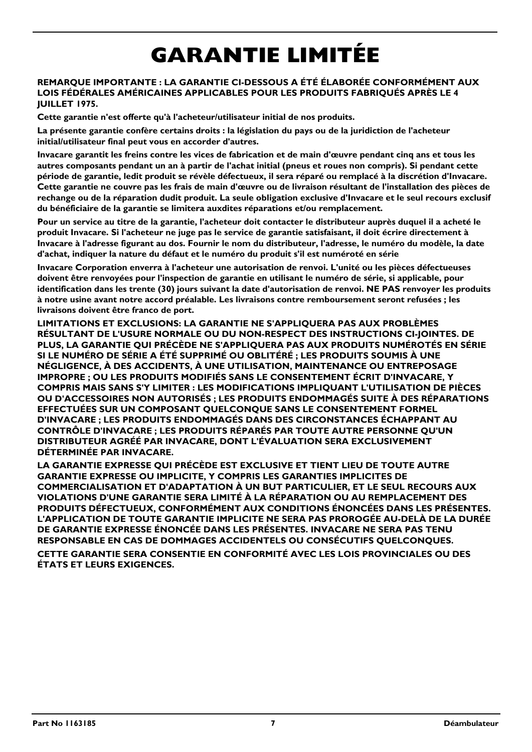# **GARANTIE LIMITÉE**

#### **REMARQUE IMPORTANTE : LA GARANTIE CI-DESSOUS A ÉTÉ ÉLABORÉE CONFORMÉMENT AUX LOIS FÉDÉRALES AMÉRICAINES APPLICABLES POUR LES PRODUITS FABRIQUÉS APRÈS LE 4 JUILLET 1975.**

**Cette garantie n'est offerte qu'à l'acheteur/utilisateur initial de nos produits.**

**La présente garantie confère certains droits : la législation du pays ou de la juridiction de l'acheteur initial/utilisateur final peut vous en accorder d'autres.**

**Invacare garantit les freins contre les vices de fabrication et de main d'œuvre pendant cinq ans et tous les autres composants pendant un an à partir de l'achat initial (pneus et roues non compris). Si pendant cette période de garantie, ledit produit se révèle défectueux, il sera réparé ou remplacé à la discrétion d'Invacare. Cette garantie ne couvre pas les frais de main d'œuvre ou de livraison résultant de l'installation des pièces de rechange ou de la réparation dudit produit. La seule obligation exclusive d'Invacare et le seul recours exclusif du bénéficiaire de la garantie se limitera auxdites réparations et/ou remplacement.**

**Pour un service au titre de la garantie, l'acheteur doit contacter le distributeur auprès duquel il a acheté le produit Invacare. Si l'acheteur ne juge pas le service de garantie satisfaisant, il doit écrire directement à Invacare à l'adresse figurant au dos. Fournir le nom du distributeur, l'adresse, le numéro du modèle, la date d'achat, indiquer la nature du défaut et le numéro du produit s'il est numéroté en série**

**Invacare Corporation enverra à l'acheteur une autorisation de renvoi. L'unité ou les pièces défectueuses doivent être renvoyées pour l'inspection de garantie en utilisant le numéro de série, si applicable, pour identification dans les trente (30) jours suivant la date d'autorisation de renvoi. NE PAS renvoyer les produits à notre usine avant notre accord préalable. Les livraisons contre remboursement seront refusées ; les livraisons doivent être franco de port.**

**LIMITATIONS ET EXCLUSIONS: LA GARANTIE NE S'APPLIQUERA PAS AUX PROBLÈMES RÉSULTANT DE L'USURE NORMALE OU DU NON-RESPECT DES INSTRUCTIONS CI-JOINTES. DE PLUS, LA GARANTIE QUI PRÉCÈDE NE S'APPLIQUERA PAS AUX PRODUITS NUMÉROTÉS EN SÉRIE SI LE NUMÉRO DE SÉRIE A ÉTÉ SUPPRIMÉ OU OBLITÉRÉ ; LES PRODUITS SOUMIS À UNE NÉGLIGENCE, À DES ACCIDENTS, À UNE UTILISATION, MAINTENANCE OU ENTREPOSAGE IMPROPRE ; OU LES PRODUITS MODIFIÉS SANS LE CONSENTEMENT ÉCRIT D'INVACARE, Y COMPRIS MAIS SANS S'Y LIMITER : LES MODIFICATIONS IMPLIQUANT L'UTILISATION DE PIÈCES OU D'ACCESSOIRES NON AUTORISÉS ; LES PRODUITS ENDOMMAGÉS SUITE À DES RÉPARATIONS EFFECTUÉES SUR UN COMPOSANT QUELCONQUE SANS LE CONSENTEMENT FORMEL D'INVACARE ; LES PRODUITS ENDOMMAGÉS DANS DES CIRCONSTANCES ÉCHAPPANT AU CONTRÔLE D'INVACARE ; LES PRODUITS RÉPARÉS PAR TOUTE AUTRE PERSONNE QU'UN DISTRIBUTEUR AGRÉÉ PAR INVACARE, DONT L'ÉVALUATION SERA EXCLUSIVEMENT DÉTERMINÉE PAR INVACARE.**

**LA GARANTIE EXPRESSE QUI PRÉCÈDE EST EXCLUSIVE ET TIENT LIEU DE TOUTE AUTRE GARANTIE EXPRESSE OU IMPLICITE, Y COMPRIS LES GARANTIES IMPLICITES DE COMMERCIALISATION ET D'ADAPTATION À UN BUT PARTICULIER, ET LE SEUL RECOURS AUX VIOLATIONS D'UNE GARANTIE SERA LIMITÉ À LA RÉPARATION OU AU REMPLACEMENT DES PRODUITS DÉFECTUEUX, CONFORMÉMENT AUX CONDITIONS ÉNONCÉES DANS LES PRÉSENTES. L'APPLICATION DE TOUTE GARANTIE IMPLICITE NE SERA PAS PROROGÉE AU-DELÀ DE LA DURÉE DE GARANTIE EXPRESSE ÉNONCÉE DANS LES PRÉSENTES. INVACARE NE SERA PAS TENU RESPONSABLE EN CAS DE DOMMAGES ACCIDENTELS OU CONSÉCUTIFS QUELCONQUES.**

**CETTE GARANTIE SERA CONSENTIE EN CONFORMITÉ AVEC LES LOIS PROVINCIALES OU DES ÉTATS ET LEURS EXIGENCES.**